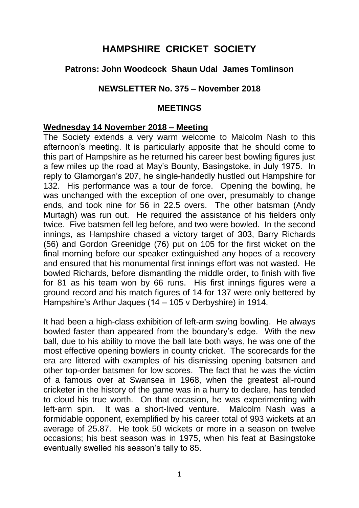# **HAMPSHIRE CRICKET SOCIETY**

## **Patrons: John Woodcock Shaun Udal James Tomlinson**

#### **NEWSLETTER No. 375 – November 2018**

#### **MEETINGS**

#### **Wednesday 14 November 2018 – Meeting**

The Society extends a very warm welcome to Malcolm Nash to this afternoon's meeting. It is particularly apposite that he should come to this part of Hampshire as he returned his career best bowling figures just a few miles up the road at May's Bounty, Basingstoke, in July 1975. In reply to Glamorgan's 207, he single-handedly hustled out Hampshire for 132. His performance was a tour de force. Opening the bowling, he was unchanged with the exception of one over, presumably to change ends, and took nine for 56 in 22.5 overs. The other batsman (Andy Murtagh) was run out. He required the assistance of his fielders only twice. Five batsmen fell leg before, and two were bowled. In the second innings, as Hampshire chased a victory target of 303, Barry Richards (56) and Gordon Greenidge (76) put on 105 for the first wicket on the final morning before our speaker extinguished any hopes of a recovery and ensured that his monumental first innings effort was not wasted. He bowled Richards, before dismantling the middle order, to finish with five for 81 as his team won by 66 runs. His first innings figures were a ground record and his match figures of 14 for 137 were only bettered by Hampshire's Arthur Jaques (14 – 105 v Derbyshire) in 1914.

It had been a high-class exhibition of left-arm swing bowling. He always bowled faster than appeared from the boundary's edge. With the new ball, due to his ability to move the ball late both ways, he was one of the most effective opening bowlers in county cricket. The scorecards for the era are littered with examples of his dismissing opening batsmen and other top-order batsmen for low scores. The fact that he was the victim of a famous over at Swansea in 1968, when the greatest all-round cricketer in the history of the game was in a hurry to declare, has tended to cloud his true worth. On that occasion, he was experimenting with left-arm spin. It was a short-lived venture. Malcolm Nash was a formidable opponent, exemplified by his career total of 993 wickets at an average of 25.87. He took 50 wickets or more in a season on twelve occasions; his best season was in 1975, when his feat at Basingstoke eventually swelled his season's tally to 85.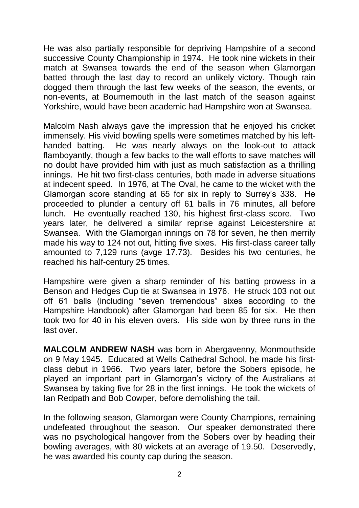He was also partially responsible for depriving Hampshire of a second successive County Championship in 1974. He took nine wickets in their match at Swansea towards the end of the season when Glamorgan batted through the last day to record an unlikely victory. Though rain dogged them through the last few weeks of the season, the events, or non-events, at Bournemouth in the last match of the season against Yorkshire, would have been academic had Hampshire won at Swansea.

Malcolm Nash always gave the impression that he enjoyed his cricket immensely. His vivid bowling spells were sometimes matched by his lefthanded batting. He was nearly always on the look-out to attack flamboyantly, though a few backs to the wall efforts to save matches will no doubt have provided him with just as much satisfaction as a thrilling innings. He hit two first-class centuries, both made in adverse situations at indecent speed. In 1976, at The Oval, he came to the wicket with the Glamorgan score standing at 65 for six in reply to Surrey's 338. He proceeded to plunder a century off 61 balls in 76 minutes, all before lunch. He eventually reached 130, his highest first-class score. Two years later, he delivered a similar reprise against Leicestershire at Swansea. With the Glamorgan innings on 78 for seven, he then merrily made his way to 124 not out, hitting five sixes. His first-class career tally amounted to 7,129 runs (avge 17.73). Besides his two centuries, he reached his half-century 25 times.

Hampshire were given a sharp reminder of his batting prowess in a Benson and Hedges Cup tie at Swansea in 1976. He struck 103 not out off 61 balls (including "seven tremendous" sixes according to the Hampshire Handbook) after Glamorgan had been 85 for six. He then took two for 40 in his eleven overs. His side won by three runs in the last over.

**MALCOLM ANDREW NASH** was born in Abergavenny, Monmouthside on 9 May 1945. Educated at Wells Cathedral School, he made his firstclass debut in 1966. Two years later, before the Sobers episode, he played an important part in Glamorgan's victory of the Australians at Swansea by taking five for 28 in the first innings. He took the wickets of Ian Redpath and Bob Cowper, before demolishing the tail.

In the following season, Glamorgan were County Champions, remaining undefeated throughout the season. Our speaker demonstrated there was no psychological hangover from the Sobers over by heading their bowling averages, with 80 wickets at an average of 19.50. Deservedly, he was awarded his county cap during the season.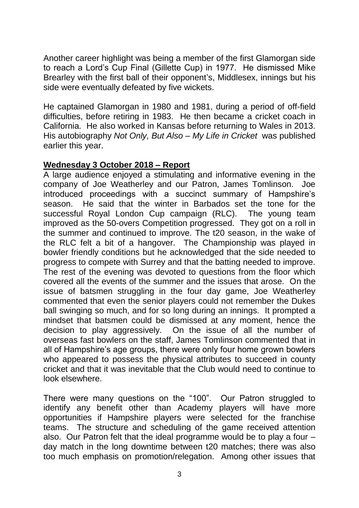Another career highlight was being a member of the first Glamorgan side to reach a Lord's Cup Final (Gillette Cup) in 1977. He dismissed Mike Brearley with the first ball of their opponent's, Middlesex, innings but his side were eventually defeated by five wickets.

He captained Glamorgan in 1980 and 1981, during a period of off-field difficulties, before retiring in 1983. He then became a cricket coach in California. He also worked in Kansas before returning to Wales in 2013. His autobiography *Not Only, But Also – My Life in Cricket* was published earlier this year.

#### **Wednesday 3 October 2018 – Report**

A large audience enjoyed a stimulating and informative evening in the company of Joe Weatherley and our Patron, James Tomlinson. Joe introduced proceedings with a succinct summary of Hampshire's season. He said that the winter in Barbados set the tone for the successful Royal London Cup campaign (RLC). The young team improved as the 50-overs Competition progressed. They got on a roll in the summer and continued to improve. The t20 season, in the wake of the RLC felt a bit of a hangover. The Championship was played in bowler friendly conditions but he acknowledged that the side needed to progress to compete with Surrey and that the batting needed to improve. The rest of the evening was devoted to questions from the floor which covered all the events of the summer and the issues that arose. On the issue of batsmen struggling in the four day game, Joe Weatherley commented that even the senior players could not remember the Dukes ball swinging so much, and for so long during an innings. It prompted a mindset that batsmen could be dismissed at any moment, hence the decision to play aggressively. On the issue of all the number of overseas fast bowlers on the staff, James Tomlinson commented that in all of Hampshire's age groups, there were only four home grown bowlers who appeared to possess the physical attributes to succeed in county cricket and that it was inevitable that the Club would need to continue to look elsewhere.

There were many questions on the "100". Our Patron struggled to identify any benefit other than Academy players will have more opportunities if Hampshire players were selected for the franchise teams. The structure and scheduling of the game received attention also. Our Patron felt that the ideal programme would be to play a four – day match in the long downtime between t20 matches; there was also too much emphasis on promotion/relegation. Among other issues that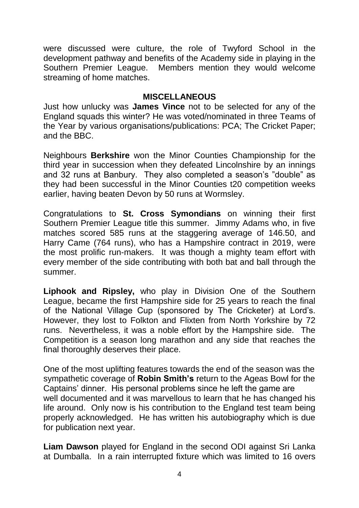were discussed were culture, the role of Twyford School in the development pathway and benefits of the Academy side in playing in the Southern Premier League. Members mention they would welcome streaming of home matches.

#### **MISCELLANEOUS**

Just how unlucky was **James Vince** not to be selected for any of the England squads this winter? He was voted/nominated in three Teams of the Year by various organisations/publications: PCA; The Cricket Paper; and the BBC.

Neighbours **Berkshire** won the Minor Counties Championship for the third year in succession when they defeated Lincolnshire by an innings and 32 runs at Banbury. They also completed a season's "double" as they had been successful in the Minor Counties t20 competition weeks earlier, having beaten Devon by 50 runs at Wormsley.

Congratulations to **St. Cross Symondians** on winning their first Southern Premier League title this summer. Jimmy Adams who, in five matches scored 585 runs at the staggering average of 146.50, and Harry Came (764 runs), who has a Hampshire contract in 2019, were the most prolific run-makers. It was though a mighty team effort with every member of the side contributing with both bat and ball through the summer.

**Liphook and Ripsley,** who play in Division One of the Southern League, became the first Hampshire side for 25 years to reach the final of the National Village Cup (sponsored by The Cricketer) at Lord's. However, they lost to Folkton and Flixten from North Yorkshire by 72 runs. Nevertheless, it was a noble effort by the Hampshire side. The Competition is a season long marathon and any side that reaches the final thoroughly deserves their place.

One of the most uplifting features towards the end of the season was the sympathetic coverage of **Robin Smith's** return to the Ageas Bowl for the Captains' dinner. His personal problems since he left the game are well documented and it was marvellous to learn that he has changed his life around. Only now is his contribution to the England test team being properly acknowledged. He has written his autobiography which is due for publication next year.

**Liam Dawson** played for England in the second ODI against Sri Lanka at Dumballa. In a rain interrupted fixture which was limited to 16 overs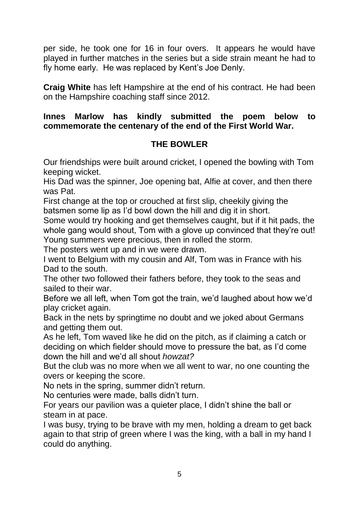per side, he took one for 16 in four overs. It appears he would have played in further matches in the series but a side strain meant he had to fly home early. He was replaced by Kent's Joe Denly.

**Craig White** has left Hampshire at the end of his contract. He had been on the Hampshire coaching staff since 2012.

### **Innes Marlow has kindly submitted the poem below to commemorate the centenary of the end of the First World War.**

# **THE BOWLER**

Our friendships were built around cricket, I opened the bowling with Tom keeping wicket.

His Dad was the spinner, Joe opening bat, Alfie at cover, and then there was Pat.

First change at the top or crouched at first slip, cheekily giving the batsmen some lip as I'd bowl down the hill and dig it in short.

Some would try hooking and get themselves caught, but if it hit pads, the whole gang would shout, Tom with a glove up convinced that they're out! Young summers were precious, then in rolled the storm.

The posters went up and in we were drawn.

I went to Belgium with my cousin and Alf, Tom was in France with his Dad to the south.

The other two followed their fathers before, they took to the seas and sailed to their war.

Before we all left, when Tom got the train, we'd laughed about how we'd play cricket again.

Back in the nets by springtime no doubt and we joked about Germans and getting them out.

As he left, Tom waved like he did on the pitch, as if claiming a catch or deciding on which fielder should move to pressure the bat, as I'd come down the hill and we'd all shout *howzat?*

But the club was no more when we all went to war, no one counting the overs or keeping the score.

No nets in the spring, summer didn't return.

No centuries were made, balls didn't turn.

For years our pavilion was a quieter place, I didn't shine the ball or steam in at pace.

I was busy, trying to be brave with my men, holding a dream to get back again to that strip of green where I was the king, with a ball in my hand I could do anything.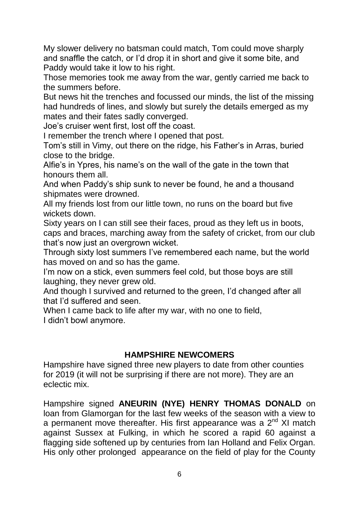My slower delivery no batsman could match, Tom could move sharply and snaffle the catch, or I'd drop it in short and give it some bite, and Paddy would take it low to his right.

Those memories took me away from the war, gently carried me back to the summers before.

But news hit the trenches and focussed our minds, the list of the missing had hundreds of lines, and slowly but surely the details emerged as my mates and their fates sadly converged.

Joe's cruiser went first, lost off the coast.

I remember the trench where I opened that post.

Tom's still in Vimy, out there on the ridge, his Father's in Arras, buried close to the bridge.

Alfie's in Ypres, his name's on the wall of the gate in the town that honours them all.

And when Paddy's ship sunk to never be found, he and a thousand shipmates were drowned.

All my friends lost from our little town, no runs on the board but five wickets down.

Sixty years on I can still see their faces, proud as they left us in boots, caps and braces, marching away from the safety of cricket, from our club that's now just an overgrown wicket.

Through sixty lost summers I've remembered each name, but the world has moved on and so has the game.

I'm now on a stick, even summers feel cold, but those boys are still laughing, they never grew old.

And though I survived and returned to the green, I'd changed after all that I'd suffered and seen.

When I came back to life after my war, with no one to field, I didn't bowl anymore.

# **HAMPSHIRE NEWCOMERS**

Hampshire have signed three new players to date from other counties for 2019 (it will not be surprising if there are not more). They are an eclectic mix.

Hampshire signed **ANEURIN (NYE) HENRY THOMAS DONALD** on loan from Glamorgan for the last few weeks of the season with a view to a permanent move thereafter. His first appearance was a  $2^{nd}$  XI match against Sussex at Fulking, in which he scored a rapid 60 against a flagging side softened up by centuries from Ian Holland and Felix Organ. His only other prolonged appearance on the field of play for the County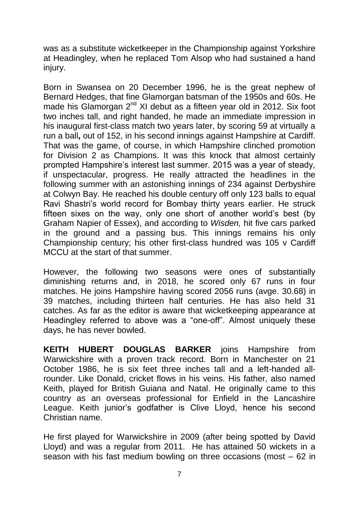was as a substitute wicketkeeper in the Championship against Yorkshire at Headingley, when he replaced Tom Alsop who had sustained a hand injury.

Born in Swansea on 20 December 1996, he is the great nephew of Bernard Hedges, that fine Glamorgan batsman of the 1950s and 60s. He made his Glamorgan 2<sup>nd</sup> XI debut as a fifteen year old in 2012. Six foot two inches tall, and right handed, he made an immediate impression in his inaugural first-class match two years later, by scoring 59 at virtually a run a ball**,** out of 152, in his second innings against Hampshire at Cardiff. That was the game, of course, in which Hampshire clinched promotion for Division 2 as Champions. It was this knock that almost certainly prompted Hampshire's interest last summer. 2015 was a year of steady, if unspectacular, progress. He really attracted the headlines in the following summer with an astonishing innings of 234 against Derbyshire at Colwyn Bay. He reached his double century off only 123 balls to equal Ravi Shastri's world record for Bombay thirty years earlier. He struck fifteen sixes on the way, only one short of another world's best (by Graham Napier of Essex), and according to *Wisden,* hit five cars parked in the ground and a passing bus. This innings remains his only Championship century; his other first-class hundred was 105 v Cardiff MCCU at the start of that summer.

However, the following two seasons were ones of substantially diminishing returns and, in 2018, he scored only 67 runs in four matches. He joins Hampshire having scored 2056 runs (avge. 30.68) in 39 matches, including thirteen half centuries. He has also held 31 catches. As far as the editor is aware that wicketkeeping appearance at Headingley referred to above was a "one-off". Almost uniquely these days, he has never bowled.

**KEITH HUBERT DOUGLAS BARKER** joins Hampshire from Warwickshire with a proven track record. Born in Manchester on 21 October 1986, he is six feet three inches tall and a left-handed allrounder. Like Donald, cricket flows in his veins. His father, also named Keith, played for British Guiana and Natal. He originally came to this country as an overseas professional for Enfield in the Lancashire League. Keith junior's godfather is Clive Lloyd, hence his second Christian name.

He first played for Warwickshire in 2009 (after being spotted by David Lloyd) and was a regular from 2011. He has attained 50 wickets in a season with his fast medium bowling on three occasions (most – 62 in